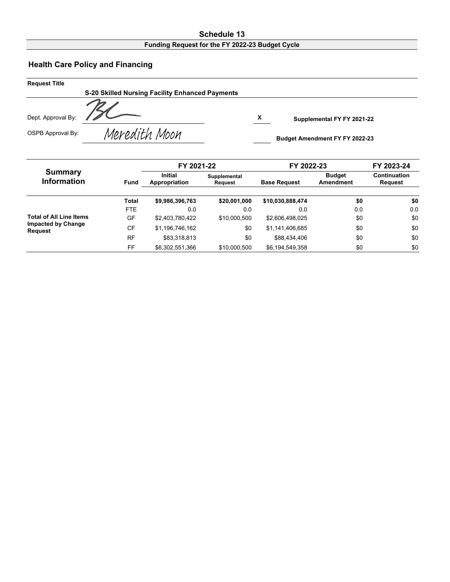#### **Schedule 13 Funding Request for the FY 2022-23 Budget Cycle**

## **Health Care Policy and Financing**

| <b>Request Title</b> |                                                 |                                       |  |
|----------------------|-------------------------------------------------|---------------------------------------|--|
|                      | S-20 Skilled Nursing Facility Enhanced Payments |                                       |  |
| Dept. Approval By:   |                                                 | х<br>Supplemental FY FY 2021-22       |  |
| OSPB Approval By:    | Meredith Moon                                   | <b>Budget Amendment FY FY 2022-23</b> |  |

|                                             |              | FY 2021-22                      |                         | FY 2022-23          |                            | FY 2023-24                     |  |
|---------------------------------------------|--------------|---------------------------------|-------------------------|---------------------|----------------------------|--------------------------------|--|
| <b>Summary</b><br><b>Information</b>        | <b>Fund</b>  | <b>Initial</b><br>Appropriation | Supplemental<br>Request | <b>Base Request</b> | <b>Budget</b><br>Amendment | <b>Continuation</b><br>Request |  |
|                                             | <b>Total</b> | \$9,986,396,763                 | \$20,001,000            | \$10,030,888,474    | \$0                        | \$0                            |  |
|                                             | FTE.         | 0.0                             | 0.0                     | 0.0                 | 0.0                        | 0.0                            |  |
| <b>Total of All Line Items</b>              | GF           | \$2,403,780,422                 | \$10,000.500            | \$2,606,498,025     | \$0                        | \$0                            |  |
| <b>Impacted by Change</b><br><b>Request</b> | <b>CF</b>    | \$1,196,746,162                 | \$0                     | \$1,141,406,685     | \$0                        | \$0                            |  |
|                                             | <b>RF</b>    | \$83.318.813                    | \$0                     | \$88,434,406        | \$0                        | \$0                            |  |
|                                             | FF           | \$6,302,551,366                 | \$10,000.500            | \$6,194,549,358     | \$0                        | \$0                            |  |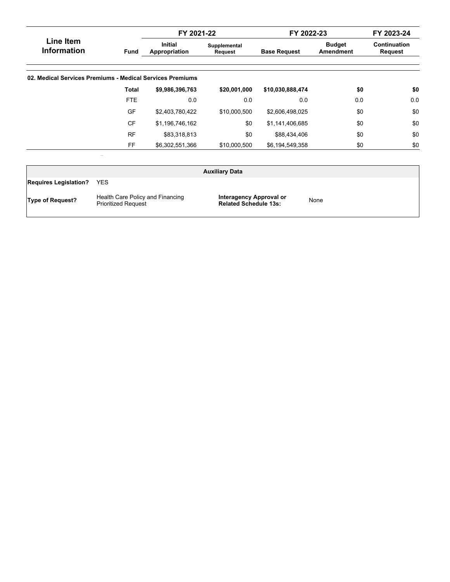|                                                           |             | FY 2021-22                      |                         | FY 2022-23          |                            | FY 2023-24              |
|-----------------------------------------------------------|-------------|---------------------------------|-------------------------|---------------------|----------------------------|-------------------------|
| Line Item<br><b>Information</b>                           | <b>Fund</b> | <b>Initial</b><br>Appropriation | Supplemental<br>Request | <b>Base Request</b> | <b>Budget</b><br>Amendment | Continuation<br>Request |
| 02. Medical Services Premiums - Medical Services Premiums |             |                                 |                         |                     |                            |                         |
|                                                           | Total       | \$9,986,396,763                 | \$20,001,000            | \$10,030,888,474    | \$0                        | \$0                     |
|                                                           | FTE         | 0.0                             | 0.0                     | 0.0                 | 0.0                        | 0.0                     |
|                                                           | <b>GF</b>   | \$2,403,780,422                 | \$10,000,500            | \$2,606,498,025     | \$0                        | \$0                     |
|                                                           | <b>CF</b>   | \$1,196,746,162                 | \$0                     | \$1,141,406,685     | \$0                        | \$0                     |
|                                                           | <b>RF</b>   | \$83,318,813                    | \$0                     | \$88,434,406        | \$0                        | \$0                     |
|                                                           | FF          | \$6,302,551,366                 | \$10,000,500            | \$6,194,549,358     | \$0                        | \$0                     |

|                              |                                                                | <b>Auxiliary Data</b>                                   |      |
|------------------------------|----------------------------------------------------------------|---------------------------------------------------------|------|
| <b>Requires Legislation?</b> | <b>YES</b>                                                     |                                                         |      |
| <b>Type of Request?</b>      | Health Care Policy and Financing<br><b>Prioritized Request</b> | Interagency Approval or<br><b>Related Schedule 13s:</b> | None |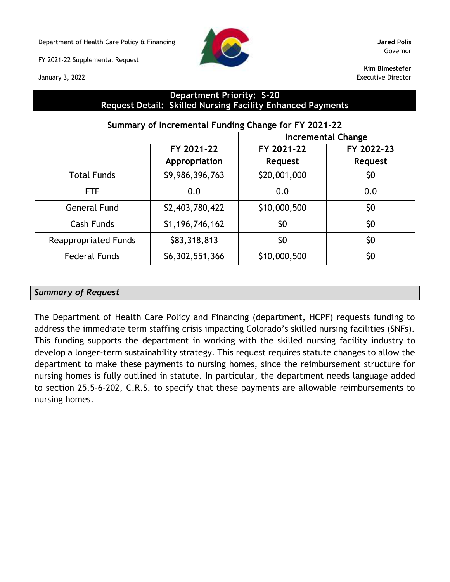Department of Health Care Policy & Financing **Jared Polis**

FY 2021-22 Supplemental Request





Governor

**Kim Bimestefer** Executive Director

## **Department Priority: S-20 Request Detail: Skilled Nursing Facility Enhanced Payments**

| Summary of Incremental Funding Change for FY 2021-22 |                 |                           |                |  |  |  |
|------------------------------------------------------|-----------------|---------------------------|----------------|--|--|--|
|                                                      |                 | <b>Incremental Change</b> |                |  |  |  |
|                                                      | FY 2021-22      | FY 2021-22                | FY 2022-23     |  |  |  |
|                                                      | Appropriation   | <b>Request</b>            | <b>Request</b> |  |  |  |
| <b>Total Funds</b>                                   | \$9,986,396,763 | \$20,001,000              | \$0            |  |  |  |
| <b>FTE</b>                                           | 0.0             | 0.0                       | 0.0            |  |  |  |
| <b>General Fund</b>                                  | \$2,403,780,422 | \$10,000,500              | \$0            |  |  |  |
| <b>Cash Funds</b>                                    | \$1,196,746,162 | \$0                       | \$0            |  |  |  |
| <b>Reappropriated Funds</b>                          | \$83,318,813    | \$0                       | \$0            |  |  |  |
| <b>Federal Funds</b>                                 | \$6,302,551,366 | \$10,000,500              | \$0            |  |  |  |

#### *Summary of Request*

The Department of Health Care Policy and Financing (department, HCPF) requests funding to address the immediate term staffing crisis impacting Colorado's skilled nursing facilities (SNFs). This funding supports the department in working with the skilled nursing facility industry to develop a longer-term sustainability strategy. This request requires statute changes to allow the department to make these payments to nursing homes, since the reimbursement structure for nursing homes is fully outlined in statute. In particular, the department needs language added to section 25.5-6-202, C.R.S. to specify that these payments are allowable reimbursements to nursing homes.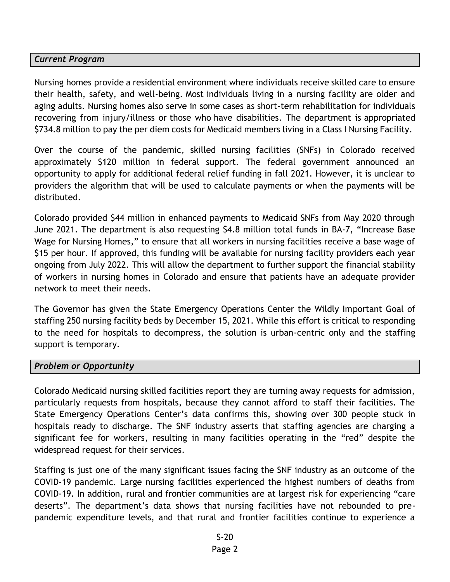### *Current Program*

Nursing homes provide a residential environment where individuals receive skilled care to ensure their health, safety, and well-being. Most individuals living in a nursing facility are older and aging adults. Nursing homes also serve in some cases as short-term rehabilitation for individuals recovering from injury/illness or those who have disabilities. The department is appropriated \$734.8 million to pay the per diem costs for Medicaid members living in a Class I Nursing Facility.

Over the course of the pandemic, skilled nursing facilities (SNFs) in Colorado received approximately \$120 million in federal support. The federal government announced an opportunity to apply for additional federal relief funding in fall 2021. However, it is unclear to providers the algorithm that will be used to calculate payments or when the payments will be distributed.

Colorado provided \$44 million in enhanced payments to Medicaid SNFs from May 2020 through June 2021. The department is also requesting \$4.8 million total funds in BA-7, "Increase Base Wage for Nursing Homes," to ensure that all workers in nursing facilities receive a base wage of \$15 per hour. If approved, this funding will be available for nursing facility providers each year ongoing from July 2022. This will allow the department to further support the financial stability of workers in nursing homes in Colorado and ensure that patients have an adequate provider network to meet their needs.

The Governor has given the State Emergency Operations Center the Wildly Important Goal of staffing 250 nursing facility beds by December 15, 2021. While this effort is critical to responding to the need for hospitals to decompress, the solution is urban-centric only and the staffing support is temporary.

#### *Problem or Opportunity*

Colorado Medicaid nursing skilled facilities report they are turning away requests for admission, particularly requests from hospitals, because they cannot afford to staff their facilities. The State Emergency Operations Center's data confirms this, showing over 300 people stuck in hospitals ready to discharge. The SNF industry asserts that staffing agencies are charging a significant fee for workers, resulting in many facilities operating in the "red" despite the widespread request for their services.

Staffing is just one of the many significant issues facing the SNF industry as an outcome of the COVID-19 pandemic. Large nursing facilities experienced the highest numbers of deaths from COVID-19. In addition, rural and frontier communities are at largest risk for experiencing "care deserts". The department's data shows that nursing facilities have not rebounded to prepandemic expenditure levels, and that rural and frontier facilities continue to experience a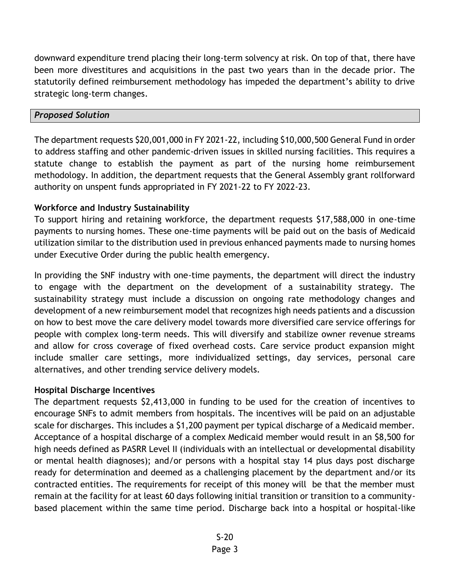downward expenditure trend placing their long-term solvency at risk. On top of that, there have been more divestitures and acquisitions in the past two years than in the decade prior. The statutorily defined reimbursement methodology has impeded the department's ability to drive strategic long-term changes.

### *Proposed Solution*

The department requests \$20,001,000 in FY 2021-22, including \$10,000,500 General Fund in order to address staffing and other pandemic-driven issues in skilled nursing facilities. This requires a statute change to establish the payment as part of the nursing home reimbursement methodology. In addition, the department requests that the General Assembly grant rollforward authority on unspent funds appropriated in FY 2021-22 to FY 2022-23.

### **Workforce and Industry Sustainability**

To support hiring and retaining workforce, the department requests \$17,588,000 in one-time payments to nursing homes. These one-time payments will be paid out on the basis of Medicaid utilization similar to the distribution used in previous enhanced payments made to nursing homes under Executive Order during the public health emergency.

In providing the SNF industry with one-time payments, the department will direct the industry to engage with the department on the development of a sustainability strategy. The sustainability strategy must include a discussion on ongoing rate methodology changes and development of a new reimbursement model that recognizes high needs patients and a discussion on how to best move the care delivery model towards more diversified care service offerings for people with complex long-term needs. This will diversify and stabilize owner revenue streams and allow for cross coverage of fixed overhead costs. Care service product expansion might include smaller care settings, more individualized settings, day services, personal care alternatives, and other trending service delivery models.

### **Hospital Discharge Incentives**

The department requests \$2,413,000 in funding to be used for the creation of incentives to encourage SNFs to admit members from hospitals. The incentives will be paid on an adjustable scale for discharges. This includes a \$1,200 payment per typical discharge of a Medicaid member. Acceptance of a hospital discharge of a complex Medicaid member would result in an \$8,500 for high needs defined as PASRR Level II (individuals with an intellectual or developmental disability or mental health diagnoses); and/or persons with a hospital stay 14 plus days post discharge ready for determination and deemed as a challenging placement by the department and/or its contracted entities. The requirements for receipt of this money will be that the member must remain at the facility for at least 60 days following initial transition or transition to a communitybased placement within the same time period. Discharge back into a hospital or hospital-like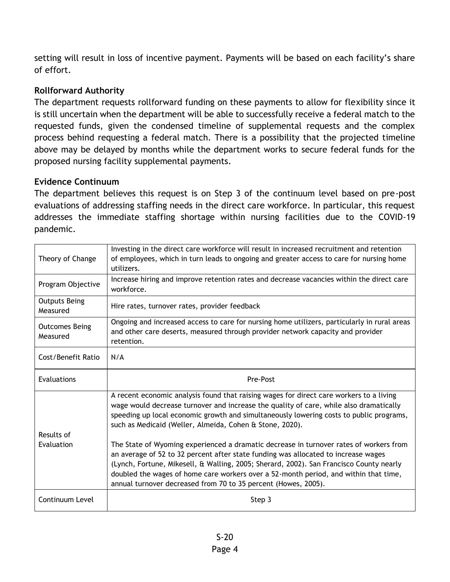setting will result in loss of incentive payment. Payments will be based on each facility's share of effort.

# **Rollforward Authority**

The department requests rollforward funding on these payments to allow for flexibility since it is still uncertain when the department will be able to successfully receive a federal match to the requested funds, given the condensed timeline of supplemental requests and the complex process behind requesting a federal match. There is a possibility that the projected timeline above may be delayed by months while the department works to secure federal funds for the proposed nursing facility supplemental payments.

## **Evidence Continuum**

The department believes this request is on Step 3 of the continuum level based on pre-post evaluations of addressing staffing needs in the direct care workforce. In particular, this request addresses the immediate staffing shortage within nursing facilities due to the COVID-19 pandemic.

| Theory of Change                  | Investing in the direct care workforce will result in increased recruitment and retention<br>of employees, which in turn leads to ongoing and greater access to care for nursing home<br>utilizers.                                                                                                                                                                                                                               |
|-----------------------------------|-----------------------------------------------------------------------------------------------------------------------------------------------------------------------------------------------------------------------------------------------------------------------------------------------------------------------------------------------------------------------------------------------------------------------------------|
| Program Objective                 | Increase hiring and improve retention rates and decrease vacancies within the direct care<br>workforce.                                                                                                                                                                                                                                                                                                                           |
| <b>Outputs Being</b><br>Measured  | Hire rates, turnover rates, provider feedback                                                                                                                                                                                                                                                                                                                                                                                     |
| <b>Outcomes Being</b><br>Measured | Ongoing and increased access to care for nursing home utilizers, particularly in rural areas<br>and other care deserts, measured through provider network capacity and provider<br>retention.                                                                                                                                                                                                                                     |
| Cost/Benefit Ratio                | N/A                                                                                                                                                                                                                                                                                                                                                                                                                               |
| Evaluations                       | Pre-Post                                                                                                                                                                                                                                                                                                                                                                                                                          |
| Results of                        | A recent economic analysis found that raising wages for direct care workers to a living<br>wage would decrease turnover and increase the quality of care, while also dramatically<br>speeding up local economic growth and simultaneously lowering costs to public programs,<br>such as Medicaid (Weller, Almeida, Cohen & Stone, 2020).                                                                                          |
| Evaluation                        | The State of Wyoming experienced a dramatic decrease in turnover rates of workers from<br>an average of 52 to 32 percent after state funding was allocated to increase wages<br>(Lynch, Fortune, Mikesell, & Walling, 2005; Sherard, 2002). San Francisco County nearly<br>doubled the wages of home care workers over a 52-month period, and within that time,<br>annual turnover decreased from 70 to 35 percent (Howes, 2005). |
| Continuum Level                   | Step 3                                                                                                                                                                                                                                                                                                                                                                                                                            |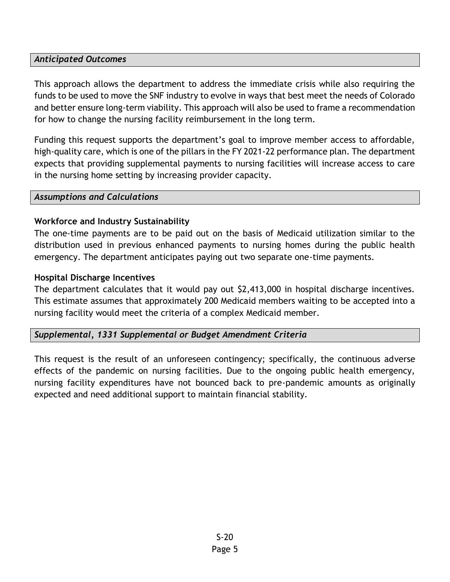## *Anticipated Outcomes*

This approach allows the department to address the immediate crisis while also requiring the funds to be used to move the SNF industry to evolve in ways that best meet the needs of Colorado and better ensure long-term viability. This approach will also be used to frame a recommendation for how to change the nursing facility reimbursement in the long term.

Funding this request supports the department's goal to improve member access to affordable, high-quality care, which is one of the pillars in the FY 2021-22 performance plan. The department expects that providing supplemental payments to nursing facilities will increase access to care in the nursing home setting by increasing provider capacity.

#### *Assumptions and Calculations*

## **Workforce and Industry Sustainability**

The one-time payments are to be paid out on the basis of Medicaid utilization similar to the distribution used in previous enhanced payments to nursing homes during the public health emergency. The department anticipates paying out two separate one-time payments.

### **Hospital Discharge Incentives**

The department calculates that it would pay out \$2,413,000 in hospital discharge incentives. This estimate assumes that approximately 200 Medicaid members waiting to be accepted into a nursing facility would meet the criteria of a complex Medicaid member.

### *Supplemental, 1331 Supplemental or Budget Amendment Criteria*

This request is the result of an unforeseen contingency; specifically, the continuous adverse effects of the pandemic on nursing facilities. Due to the ongoing public health emergency, nursing facility expenditures have not bounced back to pre-pandemic amounts as originally expected and need additional support to maintain financial stability.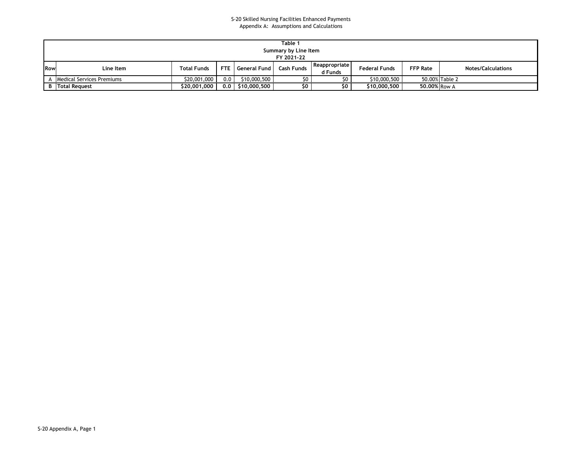#### S-20 Skilled Nursing Facilities Enhanced Payments Appendix A: Assumptions and Calculations

|     | Table 1                   |                    |     |                      |                      |                          |                      |                 |                           |
|-----|---------------------------|--------------------|-----|----------------------|----------------------|--------------------------|----------------------|-----------------|---------------------------|
|     |                           |                    |     |                      | Summary by Line Item |                          |                      |                 |                           |
|     | FY 2021-22                |                    |     |                      |                      |                          |                      |                 |                           |
| Row | Line Item                 | <b>Total Funds</b> |     | FTE   General Fund   | Cash Funds           | Reappropriate<br>d Funds | <b>Federal Funds</b> | <b>FFP Rate</b> | <b>Notes/Calculations</b> |
|     | Medical Services Premiums | \$20,001,000       | 0.0 | \$10,000,500         | מח                   | מא                       | \$10,000,500         |                 | 50.00% Table 2            |
|     | <b>B</b> Total Request    | \$20,001,000       |     | $0.0$   \$10,000,500 | SO.                  | SO.                      | \$10,000,500         | 50,00% Row A    |                           |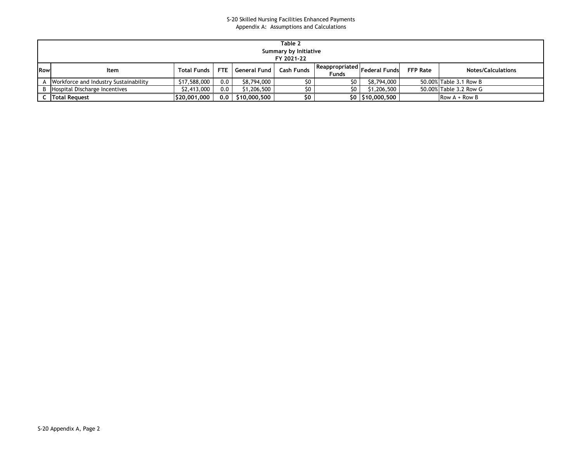#### S-20 Skilled Nursing Facilities Enhanced Payments Appendix A: Assumptions and Calculations

|     | Table 2<br>Summary by Initiative<br>FY 2021-22 |              |     |                    |                   |                         |                      |                 |                           |
|-----|------------------------------------------------|--------------|-----|--------------------|-------------------|-------------------------|----------------------|-----------------|---------------------------|
| Row | Item                                           | Total Funds  |     | FTE General Fund I | <b>Cash Funds</b> | Reappropriated<br>Funds | <b>Federal Funds</b> | <b>FFP Rate</b> | <b>Notes/Calculations</b> |
| A   | <b>Norkforce and Industry Sustainability</b>   | \$17,588,000 | 0.0 | \$8,794,000        | \$0               | \$0                     | \$8,794,000          |                 | 50.00% Table 3.1 Row B    |
|     | B   Hospital Discharge Incentives              | \$2,413,000  | 0.0 | \$1,206,500        |                   |                         | \$1,206,500          |                 | 50.00% Table 3.2 Row G    |
|     | <b>C</b> Total Request                         | \$20,001,000 | 0.0 | \$10,000,500       | \$0               |                         | \$0   \$10,000,500   |                 | Row $A + Row B$           |